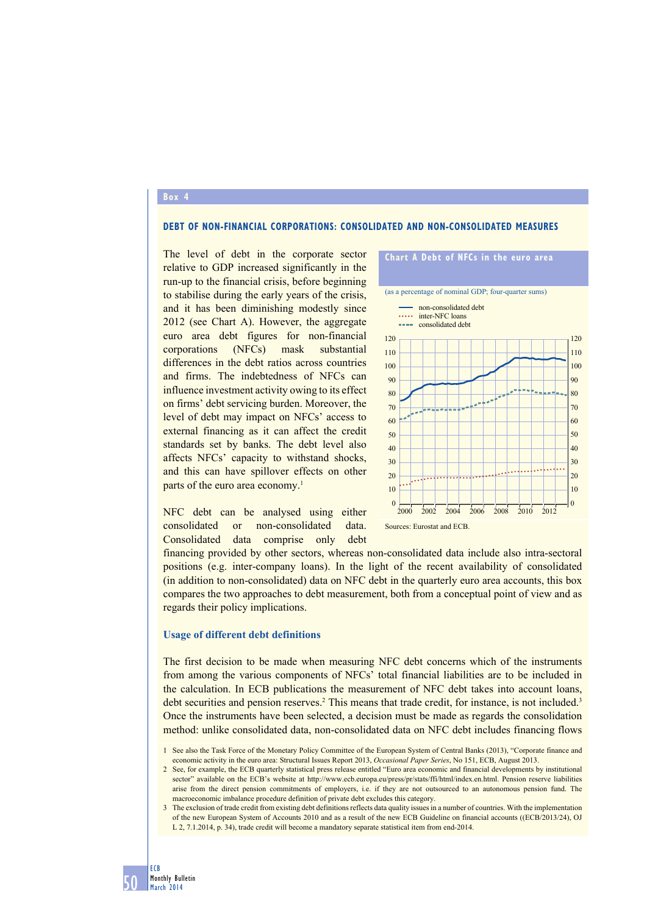#### **Box 4**

### **Debt of non-financial corporations: consolidated and non-consolidated measures**

The level of debt in the corporate sector relative to GDP increased significantly in the run-up to the financial crisis, before beginning to stabilise during the early years of the crisis, and it has been diminishing modestly since 2012 (see Chart A). However, the aggregate euro area debt figures for non-financial corporations (NFCs) mask substantial differences in the debt ratios across countries and firms. The indebtedness of NFCs can influence investment activity owing to its effect on firms' debt servicing burden. Moreover, the level of debt may impact on NFCs' access to external financing as it can affect the credit standards set by banks. The debt level also affects NFCs' capacity to withstand shocks, and this can have spillover effects on other parts of the euro area economy.<sup>1</sup>





financing provided by other sectors, whereas non-consolidated data include also intra-sectoral positions (e.g. inter-company loans). In the light of the recent availability of consolidated (in addition to non-consolidated) data on NFC debt in the quarterly euro area accounts, this box compares the two approaches to debt measurement, both from a conceptual point of view and as regards their policy implications.

#### **Usage of different debt definitions**

The first decision to be made when measuring NFC debt concerns which of the instruments from among the various components of NFCs' total financial liabilities are to be included in the calculation. In ECB publications the measurement of NFC debt takes into account loans, debt securities and pension reserves.<sup>2</sup> This means that trade credit, for instance, is not included.<sup>3</sup> Once the instruments have been selected, a decision must be made as regards the consolidation method: unlike consolidated data, non-consolidated data on NFC debt includes financing flows

3 The exclusion of trade credit from existing debt definitions reflects data quality issues in a number of countries. With the implementation of the new European System of Accounts 2010 and as a result of the new ECB Guideline on financial accounts ((ECB/2013/24), OJ L 2, 7.1.2014, p. 34), trade credit will become a mandatory separate statistical item from end-2014.

<sup>1</sup> See also the Task Force of the Monetary Policy Committee of the European System of Central Banks (2013), "Corporate finance and economic activity in the euro area: Structural Issues Report 2013, *Occasional Paper Series*, No 151, ECB, August 2013.

<sup>2</sup> See, for example, the ECB quarterly statistical press release entitled "Euro area economic and financial developments by institutional sector" available on the ECB's website at http://www.ecb.europa.eu/press/pr/stats/ffi/html/index.en.html. Pension reserve liabilities arise from the direct pension commitments of employers, i.e. if they are not outsourced to an autonomous pension fund. The macroeconomic imbalance procedure definition of private debt excludes this category.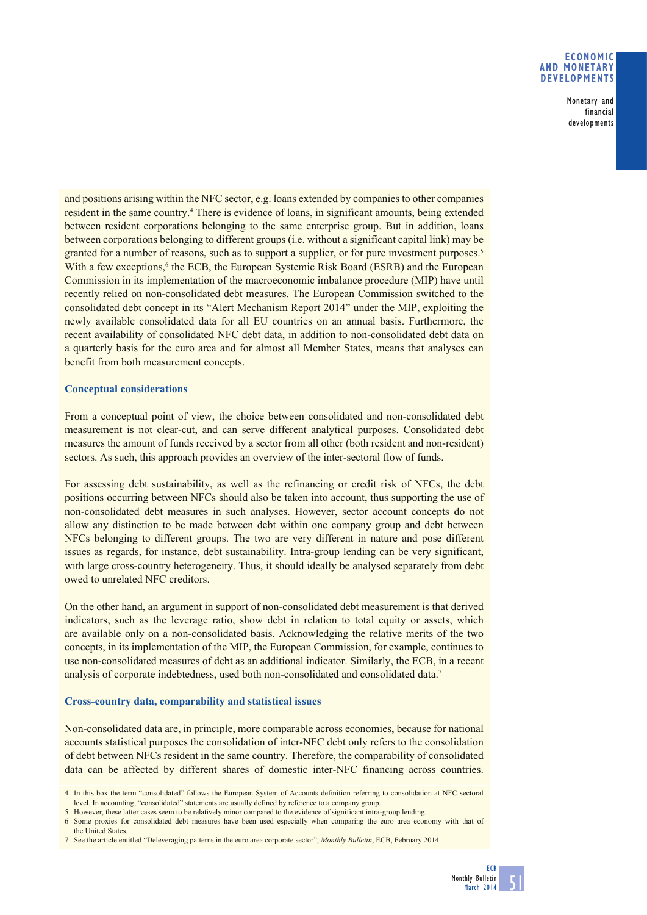### **ECONOMIC AND MONETARY DEVELOPMENTS**

Monetary and financial developments

and positions arising within the NFC sector, e.g. loans extended by companies to other companies resident in the same country.<sup>4</sup> There is evidence of loans, in significant amounts, being extended between resident corporations belonging to the same enterprise group. But in addition, loans between corporations belonging to different groups (i.e. without a significant capital link) may be granted for a number of reasons, such as to support a supplier, or for pure investment purposes.<sup>5</sup> With a few exceptions,<sup>6</sup> the ECB, the European Systemic Risk Board (ESRB) and the European Commission in its implementation of the macroeconomic imbalance procedure (MIP) have until recently relied on non-consolidated debt measures. The European Commission switched to the consolidated debt concept in its "Alert Mechanism Report 2014" under the MIP, exploiting the newly available consolidated data for all EU countries on an annual basis. Furthermore, the recent availability of consolidated NFC debt data, in addition to non-consolidated debt data on a quarterly basis for the euro area and for almost all Member States, means that analyses can benefit from both measurement concepts.

# **Conceptual considerations**

From a conceptual point of view, the choice between consolidated and non-consolidated debt measurement is not clear-cut, and can serve different analytical purposes. Consolidated debt measures the amount of funds received by a sector from all other (both resident and non-resident) sectors. As such, this approach provides an overview of the inter-sectoral flow of funds.

For assessing debt sustainability, as well as the refinancing or credit risk of NFCs, the debt positions occurring between NFCs should also be taken into account, thus supporting the use of non-consolidated debt measures in such analyses. However, sector account concepts do not allow any distinction to be made between debt within one company group and debt between NFCs belonging to different groups. The two are very different in nature and pose different issues as regards, for instance, debt sustainability. Intra-group lending can be very significant, with large cross-country heterogeneity. Thus, it should ideally be analysed separately from debt owed to unrelated NFC creditors.

On the other hand, an argument in support of non-consolidated debt measurement is that derived indicators, such as the leverage ratio, show debt in relation to total equity or assets, which are available only on a non-consolidated basis. Acknowledging the relative merits of the two concepts, in its implementation of the MIP, the European Commission, for example, continues to use non-consolidated measures of debt as an additional indicator. Similarly, the ECB, in a recent analysis of corporate indebtedness, used both non-consolidated and consolidated data.7

# **Cross-country data, comparability and statistical issues**

Non-consolidated data are, in principle, more comparable across economies, because for national accounts statistical purposes the consolidation of inter-NFC debt only refers to the consolidation of debt between NFCs resident in the same country. Therefore, the comparability of consolidated data can be affected by different shares of domestic inter-NFC financing across countries.

<sup>4</sup> In this box the term "consolidated" follows the European System of Accounts definition referring to consolidation at NFC sectoral level. In accounting, "consolidated" statements are usually defined by reference to a company group.

<sup>5</sup> However, these latter cases seem to be relatively minor compared to the evidence of significant intra-group lending.

<sup>6</sup> Some proxies for consolidated debt measures have been used especially when comparing the euro area economy with that of the United States.

<sup>7</sup> See the article entitled "Deleveraging patterns in the euro area corporate sector", *Monthly Bulletin*, ECB, February 2014.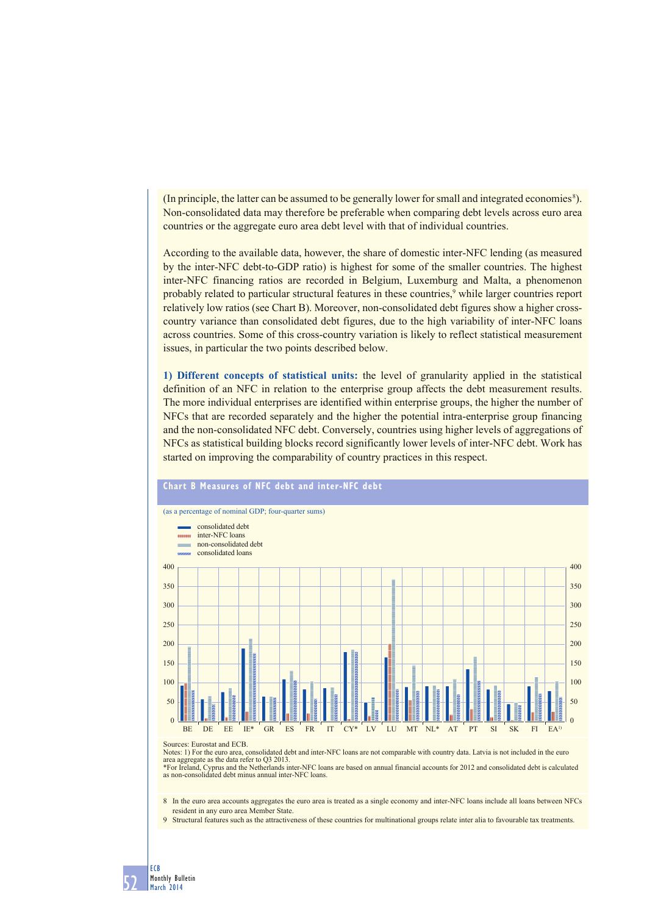(In principle, the latter can be assumed to be generally lower for small and integrated economies 8). Non-consolidated data may therefore be preferable when comparing debt levels across euro area countries or the aggregate euro area debt level with that of individual countries.

According to the available data, however, the share of domestic inter-NFC lending (as measured by the inter-NFC debt-to-GDP ratio) is highest for some of the smaller countries. The highest inter-NFC financing ratios are recorded in Belgium, Luxemburg and Malta, a phenomenon probably related to particular structural features in these countries,<sup>9</sup> while larger countries report relatively low ratios (see Chart B). Moreover, non-consolidated debt figures show a higher crosscountry variance than consolidated debt figures, due to the high variability of inter-NFC loans across countries. Some of this cross-country variation is likely to reflect statistical measurement issues, in particular the two points described below.

**1) Different concepts of statistical units:** the level of granularity applied in the statistical definition of an NFC in relation to the enterprise group affects the debt measurement results. The more individual enterprises are identified within enterprise groups, the higher the number of NFCs that are recorded separately and the higher the potential intra-enterprise group financing and the non-consolidated NFC debt. Conversely, countries using higher levels of aggregations of NFCs as statistical building blocks record significantly lower levels of inter-NFC debt. Work has started on improving the comparability of country practices in this respect.



#### Sources: Eurostat and ECB.

52

ECB Monthly Bulletin March 2014

Notes: 1) For the euro area, consolidated debt and inter-NFC loans are not comparable with country data. Latvia is not included in the euro

area aggregate as the data refer to Q3 2013.<br>\*For Ireland, Cyprus and the Netherlands inter-NFC loans are based on annual financial accounts for 2012 and consolidated debt is calculated<br>as non-consolidated debt minus annua

8 In the euro area accounts aggregates the euro area is treated as a single economy and inter-NFC loans include all loans between NFCs resident in any euro area Member State.

9 Structural features such as the attractiveness of these countries for multinational groups relate inter alia to favourable tax treatments.